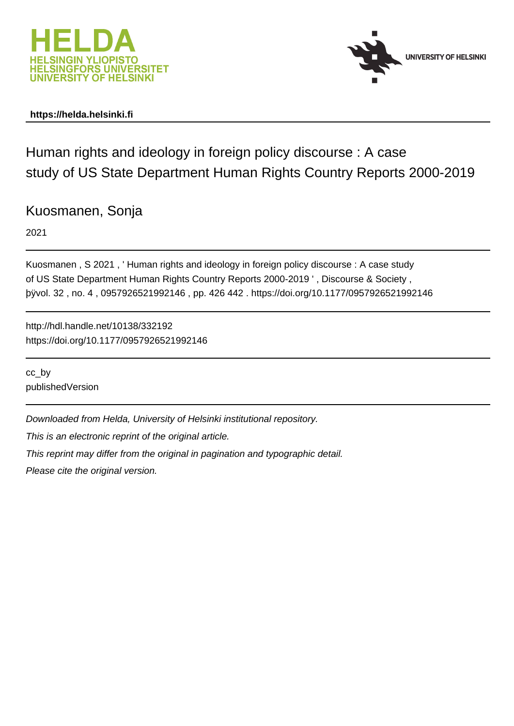



# **https://helda.helsinki.fi**

Human rights and ideology in foreign policy discourse : A case study of US State Department Human Rights Country Reports 2000-2019

Kuosmanen, Sonja

2021

Kuosmanen , S 2021 , ' Human rights and ideology in foreign policy discourse : A case study of US State Department Human Rights Country Reports 2000-2019 ' , Discourse & Society , þÿvol. 32 , no. 4 , 0957926521992146 , pp. 426 442 . https://doi.org/10.1177/0957926521992146

http://hdl.handle.net/10138/332192 https://doi.org/10.1177/0957926521992146

cc\_by publishedVersion

Downloaded from Helda, University of Helsinki institutional repository.

This is an electronic reprint of the original article.

This reprint may differ from the original in pagination and typographic detail.

Please cite the original version.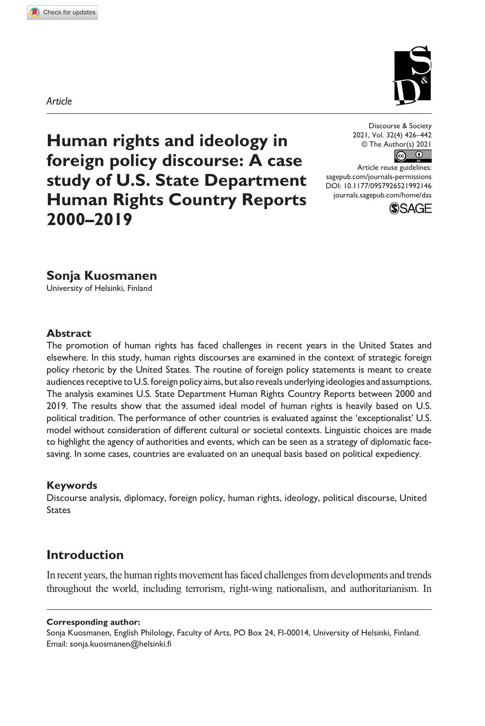*Article*

**9921[46](http://crossmark.crossref.org/dialog/?doi=10.1177%2F0957926521992146&domain=pdf&date_stamp=2021-02-10)** DAS0010.1177/0957926521992146Discourse & Society**Sonja Kuosmanen** 

**Human rights and ideology in foreign policy discourse: A case study of U.S. State Department Human Rights Country Reports 2000–2019**

Discourse & Society 2021, Vol. 32(4) 426–442 © The Author(s) 2021  $\odot$  $\odot$ 

DOI: 10.1177/0957926521992146 Article reuse guidelines: [sagepub.com/journals-permissions](https://uk.sagepub.com/en-gb/journals-permissions) [journals.sagepub.com/home/das](https://journals.sagepub.com/home/das)



### **Sonja Kuosmanen**

University of Helsinki, Finland

#### **Abstract**

The promotion of human rights has faced challenges in recent years in the United States and elsewhere. In this study, human rights discourses are examined in the context of strategic foreign policy rhetoric by the United States. The routine of foreign policy statements is meant to create audiences receptive to U.S. foreign policy aims, but also reveals underlying ideologies and assumptions. The analysis examines U.S. State Department Human Rights Country Reports between 2000 and 2019. The results show that the assumed ideal model of human rights is heavily based on U.S. political tradition. The performance of other countries is evaluated against the 'exceptionalist' U.S. model without consideration of different cultural or societal contexts. Linguistic choices are made to highlight the agency of authorities and events, which can be seen as a strategy of diplomatic facesaving. In some cases, countries are evaluated on an unequal basis based on political expediency.

#### **Keywords**

Discourse analysis, diplomacy, foreign policy, human rights, ideology, political discourse, United States

## **Introduction**

In recent years, the human rights movement has faced challenges from developments and trends throughout the world, including terrorism, right-wing nationalism, and authoritarianism. In

#### **Corresponding author:**

Sonja Kuosmanen, English Philology, Faculty of Arts, PO Box 24, FI-00014, University of Helsinki, Finland. Email: [sonja.kuosmanen@helsinki.fi](mailto:sonja.kuosmanen@helsinki.fi)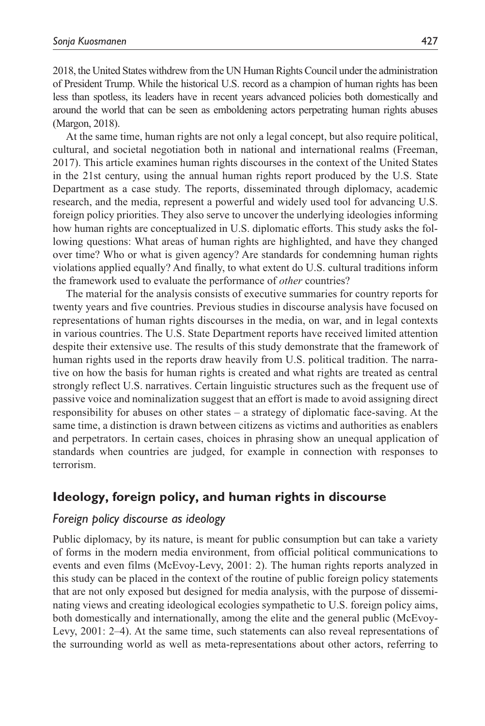2018, the United States withdrew from the UN Human Rights Council under the administration of President Trump. While the historical U.S. record as a champion of human rights has been less than spotless, its leaders have in recent years advanced policies both domestically and around the world that can be seen as emboldening actors perpetrating human rights abuses (Margon, 2018).

At the same time, human rights are not only a legal concept, but also require political, cultural, and societal negotiation both in national and international realms (Freeman, 2017). This article examines human rights discourses in the context of the United States in the 21st century, using the annual human rights report produced by the U.S. State Department as a case study. The reports, disseminated through diplomacy, academic research, and the media, represent a powerful and widely used tool for advancing U.S. foreign policy priorities. They also serve to uncover the underlying ideologies informing how human rights are conceptualized in U.S. diplomatic efforts. This study asks the following questions: What areas of human rights are highlighted, and have they changed over time? Who or what is given agency? Are standards for condemning human rights violations applied equally? And finally, to what extent do U.S. cultural traditions inform the framework used to evaluate the performance of *other* countries?

The material for the analysis consists of executive summaries for country reports for twenty years and five countries. Previous studies in discourse analysis have focused on representations of human rights discourses in the media, on war, and in legal contexts in various countries. The U.S. State Department reports have received limited attention despite their extensive use. The results of this study demonstrate that the framework of human rights used in the reports draw heavily from U.S. political tradition. The narrative on how the basis for human rights is created and what rights are treated as central strongly reflect U.S. narratives. Certain linguistic structures such as the frequent use of passive voice and nominalization suggest that an effort is made to avoid assigning direct responsibility for abuses on other states – a strategy of diplomatic face-saving. At the same time, a distinction is drawn between citizens as victims and authorities as enablers and perpetrators. In certain cases, choices in phrasing show an unequal application of standards when countries are judged, for example in connection with responses to terrorism.

### **Ideology, foreign policy, and human rights in discourse**

#### *Foreign policy discourse as ideology*

Public diplomacy, by its nature, is meant for public consumption but can take a variety of forms in the modern media environment, from official political communications to events and even films (McEvoy-Levy, 2001: 2). The human rights reports analyzed in this study can be placed in the context of the routine of public foreign policy statements that are not only exposed but designed for media analysis, with the purpose of disseminating views and creating ideological ecologies sympathetic to U.S. foreign policy aims, both domestically and internationally, among the elite and the general public (McEvoy-Levy, 2001: 2–4). At the same time, such statements can also reveal representations of the surrounding world as well as meta-representations about other actors, referring to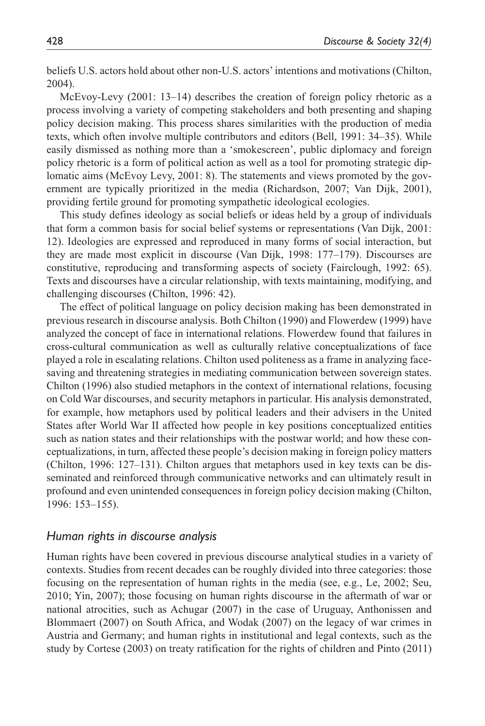beliefs U.S. actors hold about other non-U.S. actors' intentions and motivations (Chilton, 2004).

McEvoy-Levy (2001: 13–14) describes the creation of foreign policy rhetoric as a process involving a variety of competing stakeholders and both presenting and shaping policy decision making. This process shares similarities with the production of media texts, which often involve multiple contributors and editors (Bell, 1991: 34–35). While easily dismissed as nothing more than a 'smokescreen', public diplomacy and foreign policy rhetoric is a form of political action as well as a tool for promoting strategic diplomatic aims (McEvoy Levy, 2001: 8). The statements and views promoted by the government are typically prioritized in the media (Richardson, 2007; Van Dijk, 2001), providing fertile ground for promoting sympathetic ideological ecologies.

This study defines ideology as social beliefs or ideas held by a group of individuals that form a common basis for social belief systems or representations (Van Dijk, 2001: 12). Ideologies are expressed and reproduced in many forms of social interaction, but they are made most explicit in discourse (Van Dijk, 1998: 177–179). Discourses are constitutive, reproducing and transforming aspects of society (Fairclough, 1992: 65). Texts and discourses have a circular relationship, with texts maintaining, modifying, and challenging discourses (Chilton, 1996: 42).

The effect of political language on policy decision making has been demonstrated in previous research in discourse analysis. Both Chilton (1990) and Flowerdew (1999) have analyzed the concept of face in international relations. Flowerdew found that failures in cross-cultural communication as well as culturally relative conceptualizations of face played a role in escalating relations. Chilton used politeness as a frame in analyzing facesaving and threatening strategies in mediating communication between sovereign states. Chilton (1996) also studied metaphors in the context of international relations, focusing on Cold War discourses, and security metaphors in particular. His analysis demonstrated, for example, how metaphors used by political leaders and their advisers in the United States after World War II affected how people in key positions conceptualized entities such as nation states and their relationships with the postwar world; and how these conceptualizations, in turn, affected these people's decision making in foreign policy matters (Chilton, 1996: 127–131). Chilton argues that metaphors used in key texts can be disseminated and reinforced through communicative networks and can ultimately result in profound and even unintended consequences in foreign policy decision making (Chilton, 1996: 153–155).

#### *Human rights in discourse analysis*

Human rights have been covered in previous discourse analytical studies in a variety of contexts. Studies from recent decades can be roughly divided into three categories: those focusing on the representation of human rights in the media (see, e.g., Le, 2002; Seu, 2010; Yin, 2007); those focusing on human rights discourse in the aftermath of war or national atrocities, such as Achugar (2007) in the case of Uruguay, Anthonissen and Blommaert (2007) on South Africa, and Wodak (2007) on the legacy of war crimes in Austria and Germany; and human rights in institutional and legal contexts, such as the study by Cortese (2003) on treaty ratification for the rights of children and Pinto (2011)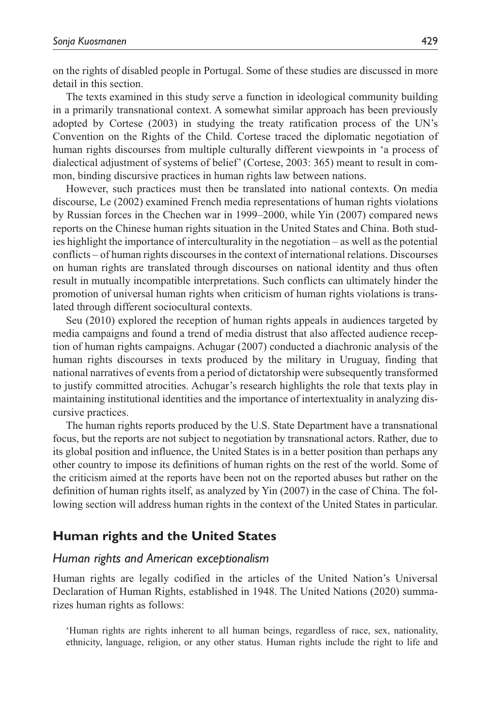on the rights of disabled people in Portugal. Some of these studies are discussed in more detail in this section.

The texts examined in this study serve a function in ideological community building in a primarily transnational context. A somewhat similar approach has been previously adopted by Cortese (2003) in studying the treaty ratification process of the UN's Convention on the Rights of the Child. Cortese traced the diplomatic negotiation of human rights discourses from multiple culturally different viewpoints in 'a process of dialectical adjustment of systems of belief' (Cortese, 2003: 365) meant to result in common, binding discursive practices in human rights law between nations.

However, such practices must then be translated into national contexts. On media discourse, Le (2002) examined French media representations of human rights violations by Russian forces in the Chechen war in 1999–2000, while Yin (2007) compared news reports on the Chinese human rights situation in the United States and China. Both studies highlight the importance of interculturality in the negotiation – as well as the potential conflicts – of human rights discourses in the context of international relations. Discourses on human rights are translated through discourses on national identity and thus often result in mutually incompatible interpretations. Such conflicts can ultimately hinder the promotion of universal human rights when criticism of human rights violations is translated through different sociocultural contexts.

Seu (2010) explored the reception of human rights appeals in audiences targeted by media campaigns and found a trend of media distrust that also affected audience reception of human rights campaigns. Achugar (2007) conducted a diachronic analysis of the human rights discourses in texts produced by the military in Uruguay, finding that national narratives of events from a period of dictatorship were subsequently transformed to justify committed atrocities. Achugar's research highlights the role that texts play in maintaining institutional identities and the importance of intertextuality in analyzing discursive practices.

The human rights reports produced by the U.S. State Department have a transnational focus, but the reports are not subject to negotiation by transnational actors. Rather, due to its global position and influence, the United States is in a better position than perhaps any other country to impose its definitions of human rights on the rest of the world. Some of the criticism aimed at the reports have been not on the reported abuses but rather on the definition of human rights itself, as analyzed by Yin (2007) in the case of China. The following section will address human rights in the context of the United States in particular.

### **Human rights and the United States**

#### *Human rights and American exceptionalism*

Human rights are legally codified in the articles of the United Nation's Universal Declaration of Human Rights, established in 1948. The United Nations (2020) summarizes human rights as follows:

'Human rights are rights inherent to all human beings, regardless of race, sex, nationality, ethnicity, language, religion, or any other status. Human rights include the right to life and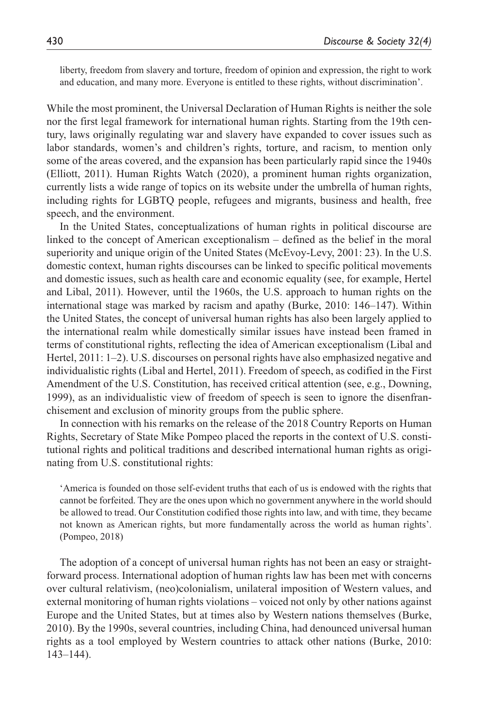liberty, freedom from slavery and torture, freedom of opinion and expression, the right to work and education, and many more. Everyone is entitled to these rights, without discrimination'.

While the most prominent, the Universal Declaration of Human Rights is neither the sole nor the first legal framework for international human rights. Starting from the 19th century, laws originally regulating war and slavery have expanded to cover issues such as labor standards, women's and children's rights, torture, and racism, to mention only some of the areas covered, and the expansion has been particularly rapid since the 1940s (Elliott, 2011). Human Rights Watch (2020), a prominent human rights organization, currently lists a wide range of topics on its website under the umbrella of human rights, including rights for LGBTQ people, refugees and migrants, business and health, free speech, and the environment.

In the United States, conceptualizations of human rights in political discourse are linked to the concept of American exceptionalism – defined as the belief in the moral superiority and unique origin of the United States (McEvoy-Levy, 2001: 23). In the U.S. domestic context, human rights discourses can be linked to specific political movements and domestic issues, such as health care and economic equality (see, for example, Hertel and Libal, 2011). However, until the 1960s, the U.S. approach to human rights on the international stage was marked by racism and apathy (Burke, 2010: 146–147). Within the United States, the concept of universal human rights has also been largely applied to the international realm while domestically similar issues have instead been framed in terms of constitutional rights, reflecting the idea of American exceptionalism (Libal and Hertel, 2011: 1–2). U.S. discourses on personal rights have also emphasized negative and individualistic rights (Libal and Hertel, 2011). Freedom of speech, as codified in the First Amendment of the U.S. Constitution, has received critical attention (see, e.g., Downing, 1999), as an individualistic view of freedom of speech is seen to ignore the disenfranchisement and exclusion of minority groups from the public sphere.

In connection with his remarks on the release of the 2018 Country Reports on Human Rights, Secretary of State Mike Pompeo placed the reports in the context of U.S. constitutional rights and political traditions and described international human rights as originating from U.S. constitutional rights:

'America is founded on those self-evident truths that each of us is endowed with the rights that cannot be forfeited. They are the ones upon which no government anywhere in the world should be allowed to tread. Our Constitution codified those rights into law, and with time, they became not known as American rights, but more fundamentally across the world as human rights'. (Pompeo, 2018)

The adoption of a concept of universal human rights has not been an easy or straightforward process. International adoption of human rights law has been met with concerns over cultural relativism, (neo)colonialism, unilateral imposition of Western values, and external monitoring of human rights violations – voiced not only by other nations against Europe and the United States, but at times also by Western nations themselves (Burke, 2010). By the 1990s, several countries, including China, had denounced universal human rights as a tool employed by Western countries to attack other nations (Burke, 2010: 143–144).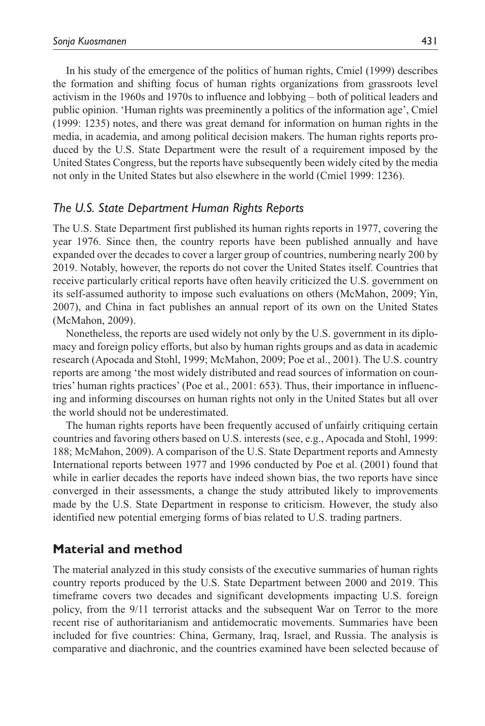In his study of the emergence of the politics of human rights, Cmiel (1999) describes the formation and shifting focus of human rights organizations from grassroots level activism in the 1960s and 1970s to influence and lobbying – both of political leaders and public opinion. 'Human rights was preeminently a politics of the information age', Cmiel (1999: 1235) notes, and there was great demand for information on human rights in the media, in academia, and among political decision makers. The human rights reports produced by the U.S. State Department were the result of a requirement imposed by the United States Congress, but the reports have subsequently been widely cited by the media not only in the United States but also elsewhere in the world (Cmiel 1999: 1236).

### *The U.S. State Department Human Rights Reports*

The U.S. State Department first published its human rights reports in 1977, covering the year 1976. Since then, the country reports have been published annually and have expanded over the decades to cover a larger group of countries, numbering nearly 200 by 2019. Notably, however, the reports do not cover the United States itself. Countries that receive particularly critical reports have often heavily criticized the U.S. government on its self-assumed authority to impose such evaluations on others (McMahon, 2009; Yin, 2007), and China in fact publishes an annual report of its own on the United States (McMahon, 2009).

Nonetheless, the reports are used widely not only by the U.S. government in its diplomacy and foreign policy efforts, but also by human rights groups and as data in academic research (Apocada and Stohl, 1999; McMahon, 2009; Poe et al., 2001). The U.S. country reports are among 'the most widely distributed and read sources of information on countries' human rights practices' (Poe et al., 2001: 653). Thus, their importance in influencing and informing discourses on human rights not only in the United States but all over the world should not be underestimated.

The human rights reports have been frequently accused of unfairly critiquing certain countries and favoring others based on U.S. interests (see, e.g., Apocada and Stohl, 1999: 188; McMahon, 2009). A comparison of the U.S. State Department reports and Amnesty International reports between 1977 and 1996 conducted by Poe et al. (2001) found that while in earlier decades the reports have indeed shown bias, the two reports have since converged in their assessments, a change the study attributed likely to improvements made by the U.S. State Department in response to criticism. However, the study also identified new potential emerging forms of bias related to U.S. trading partners.

### **Material and method**

The material analyzed in this study consists of the executive summaries of human rights country reports produced by the U.S. State Department between 2000 and 2019. This timeframe covers two decades and significant developments impacting U.S. foreign policy, from the 9/11 terrorist attacks and the subsequent War on Terror to the more recent rise of authoritarianism and antidemocratic movements. Summaries have been included for five countries: China, Germany, Iraq, Israel, and Russia. The analysis is comparative and diachronic, and the countries examined have been selected because of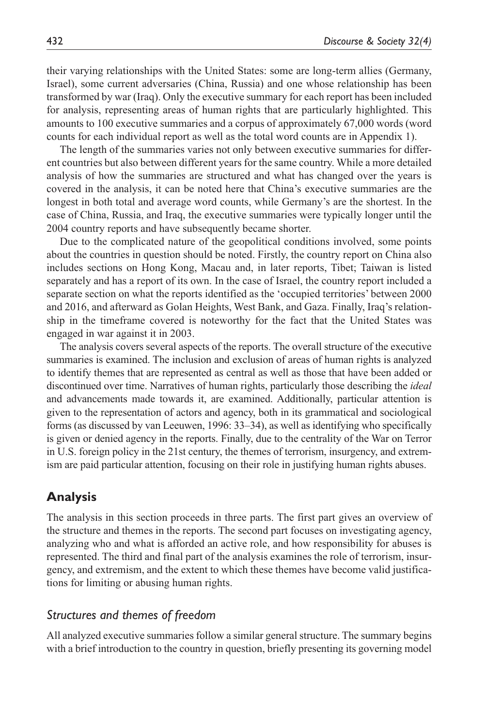their varying relationships with the United States: some are long-term allies (Germany, Israel), some current adversaries (China, Russia) and one whose relationship has been transformed by war (Iraq). Only the executive summary for each report has been included for analysis, representing areas of human rights that are particularly highlighted. This amounts to 100 executive summaries and a corpus of approximately 67,000 words (word counts for each individual report as well as the total word counts are in Appendix 1).

The length of the summaries varies not only between executive summaries for different countries but also between different years for the same country. While a more detailed analysis of how the summaries are structured and what has changed over the years is covered in the analysis, it can be noted here that China's executive summaries are the longest in both total and average word counts, while Germany's are the shortest. In the case of China, Russia, and Iraq, the executive summaries were typically longer until the 2004 country reports and have subsequently became shorter.

Due to the complicated nature of the geopolitical conditions involved, some points about the countries in question should be noted. Firstly, the country report on China also includes sections on Hong Kong, Macau and, in later reports, Tibet; Taiwan is listed separately and has a report of its own. In the case of Israel, the country report included a separate section on what the reports identified as the 'occupied territories' between 2000 and 2016, and afterward as Golan Heights, West Bank, and Gaza. Finally, Iraq's relationship in the timeframe covered is noteworthy for the fact that the United States was engaged in war against it in 2003.

The analysis covers several aspects of the reports. The overall structure of the executive summaries is examined. The inclusion and exclusion of areas of human rights is analyzed to identify themes that are represented as central as well as those that have been added or discontinued over time. Narratives of human rights, particularly those describing the *ideal* and advancements made towards it, are examined. Additionally, particular attention is given to the representation of actors and agency, both in its grammatical and sociological forms (as discussed by van Leeuwen, 1996: 33–34), as well as identifying who specifically is given or denied agency in the reports. Finally, due to the centrality of the War on Terror in U.S. foreign policy in the 21st century, the themes of terrorism, insurgency, and extremism are paid particular attention, focusing on their role in justifying human rights abuses.

# **Analysis**

The analysis in this section proceeds in three parts. The first part gives an overview of the structure and themes in the reports. The second part focuses on investigating agency, analyzing who and what is afforded an active role, and how responsibility for abuses is represented. The third and final part of the analysis examines the role of terrorism, insurgency, and extremism, and the extent to which these themes have become valid justifications for limiting or abusing human rights.

### *Structures and themes of freedom*

All analyzed executive summaries follow a similar general structure. The summary begins with a brief introduction to the country in question, briefly presenting its governing model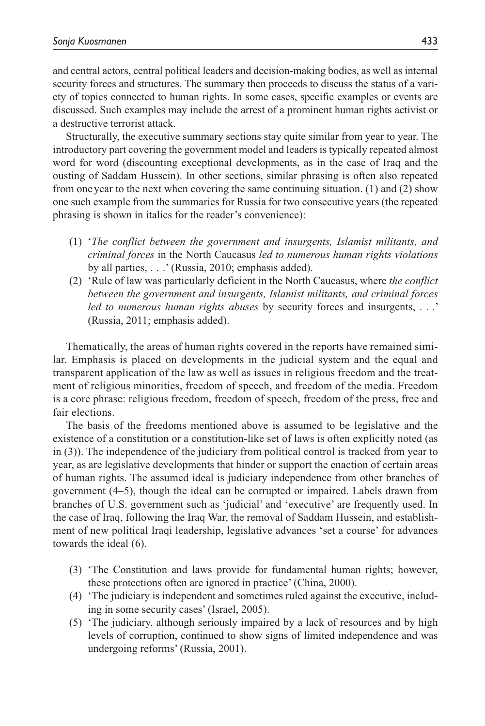and central actors, central political leaders and decision-making bodies, as well as internal security forces and structures. The summary then proceeds to discuss the status of a variety of topics connected to human rights. In some cases, specific examples or events are discussed. Such examples may include the arrest of a prominent human rights activist or a destructive terrorist attack.

Structurally, the executive summary sections stay quite similar from year to year. The introductory part covering the government model and leaders is typically repeated almost word for word (discounting exceptional developments, as in the case of Iraq and the ousting of Saddam Hussein). In other sections, similar phrasing is often also repeated from one year to the next when covering the same continuing situation. (1) and (2) show one such example from the summaries for Russia for two consecutive years (the repeated phrasing is shown in italics for the reader's convenience):

- (1) '*The conflict between the government and insurgents, Islamist militants, and criminal forces* in the North Caucasus *led to numerous human rights violations* by all parties, . . .' (Russia, 2010; emphasis added).
- (2) 'Rule of law was particularly deficient in the North Caucasus, where *the conflict between the government and insurgents, Islamist militants, and criminal forces led to numerous human rights abuses* by security forces and insurgents, . . .' (Russia, 2011; emphasis added).

Thematically, the areas of human rights covered in the reports have remained similar. Emphasis is placed on developments in the judicial system and the equal and transparent application of the law as well as issues in religious freedom and the treatment of religious minorities, freedom of speech, and freedom of the media. Freedom is a core phrase: religious freedom, freedom of speech, freedom of the press, free and fair elections.

The basis of the freedoms mentioned above is assumed to be legislative and the existence of a constitution or a constitution-like set of laws is often explicitly noted (as in (3)). The independence of the judiciary from political control is tracked from year to year, as are legislative developments that hinder or support the enaction of certain areas of human rights. The assumed ideal is judiciary independence from other branches of government (4–5), though the ideal can be corrupted or impaired. Labels drawn from branches of U.S. government such as 'judicial' and 'executive' are frequently used. In the case of Iraq, following the Iraq War, the removal of Saddam Hussein, and establishment of new political Iraqi leadership, legislative advances 'set a course' for advances towards the ideal (6).

- (3) 'The Constitution and laws provide for fundamental human rights; however, these protections often are ignored in practice' (China, 2000).
- (4) 'The judiciary is independent and sometimes ruled against the executive, including in some security cases' (Israel, 2005).
- (5) 'The judiciary, although seriously impaired by a lack of resources and by high levels of corruption, continued to show signs of limited independence and was undergoing reforms' (Russia, 2001).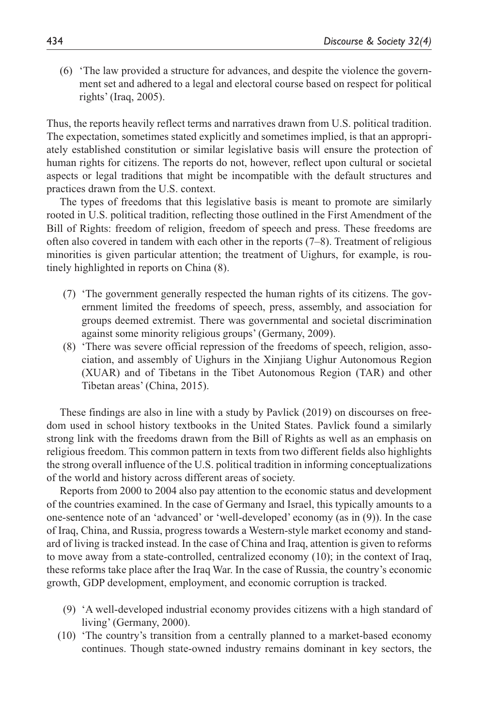(6) 'The law provided a structure for advances, and despite the violence the government set and adhered to a legal and electoral course based on respect for political rights' (Iraq, 2005).

Thus, the reports heavily reflect terms and narratives drawn from U.S. political tradition. The expectation, sometimes stated explicitly and sometimes implied, is that an appropriately established constitution or similar legislative basis will ensure the protection of human rights for citizens. The reports do not, however, reflect upon cultural or societal aspects or legal traditions that might be incompatible with the default structures and practices drawn from the U.S. context.

The types of freedoms that this legislative basis is meant to promote are similarly rooted in U.S. political tradition, reflecting those outlined in the First Amendment of the Bill of Rights: freedom of religion, freedom of speech and press. These freedoms are often also covered in tandem with each other in the reports (7–8). Treatment of religious minorities is given particular attention; the treatment of Uighurs, for example, is routinely highlighted in reports on China (8).

- (7) 'The government generally respected the human rights of its citizens. The government limited the freedoms of speech, press, assembly, and association for groups deemed extremist. There was governmental and societal discrimination against some minority religious groups' (Germany, 2009).
- (8) 'There was severe official repression of the freedoms of speech, religion, association, and assembly of Uighurs in the Xinjiang Uighur Autonomous Region (XUAR) and of Tibetans in the Tibet Autonomous Region (TAR) and other Tibetan areas' (China, 2015).

These findings are also in line with a study by Pavlick (2019) on discourses on freedom used in school history textbooks in the United States. Pavlick found a similarly strong link with the freedoms drawn from the Bill of Rights as well as an emphasis on religious freedom. This common pattern in texts from two different fields also highlights the strong overall influence of the U.S. political tradition in informing conceptualizations of the world and history across different areas of society.

Reports from 2000 to 2004 also pay attention to the economic status and development of the countries examined. In the case of Germany and Israel, this typically amounts to a one-sentence note of an 'advanced' or 'well-developed' economy (as in (9)). In the case of Iraq, China, and Russia, progress towards a Western-style market economy and standard of living is tracked instead. In the case of China and Iraq, attention is given to reforms to move away from a state-controlled, centralized economy (10); in the context of Iraq, these reforms take place after the Iraq War. In the case of Russia, the country's economic growth, GDP development, employment, and economic corruption is tracked.

- (9) 'A well-developed industrial economy provides citizens with a high standard of living' (Germany, 2000).
- (10) 'The country's transition from a centrally planned to a market-based economy continues. Though state-owned industry remains dominant in key sectors, the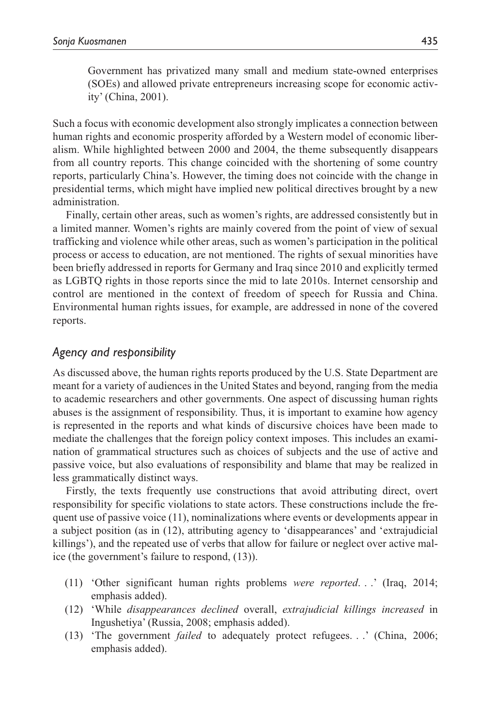Government has privatized many small and medium state-owned enterprises (SOEs) and allowed private entrepreneurs increasing scope for economic activity' (China, 2001).

Such a focus with economic development also strongly implicates a connection between human rights and economic prosperity afforded by a Western model of economic liberalism. While highlighted between 2000 and 2004, the theme subsequently disappears from all country reports. This change coincided with the shortening of some country reports, particularly China's. However, the timing does not coincide with the change in presidential terms, which might have implied new political directives brought by a new administration.

Finally, certain other areas, such as women's rights, are addressed consistently but in a limited manner. Women's rights are mainly covered from the point of view of sexual trafficking and violence while other areas, such as women's participation in the political process or access to education, are not mentioned. The rights of sexual minorities have been briefly addressed in reports for Germany and Iraq since 2010 and explicitly termed as LGBTQ rights in those reports since the mid to late 2010s. Internet censorship and control are mentioned in the context of freedom of speech for Russia and China. Environmental human rights issues, for example, are addressed in none of the covered reports.

### *Agency and responsibility*

As discussed above, the human rights reports produced by the U.S. State Department are meant for a variety of audiences in the United States and beyond, ranging from the media to academic researchers and other governments. One aspect of discussing human rights abuses is the assignment of responsibility. Thus, it is important to examine how agency is represented in the reports and what kinds of discursive choices have been made to mediate the challenges that the foreign policy context imposes. This includes an examination of grammatical structures such as choices of subjects and the use of active and passive voice, but also evaluations of responsibility and blame that may be realized in less grammatically distinct ways.

Firstly, the texts frequently use constructions that avoid attributing direct, overt responsibility for specific violations to state actors. These constructions include the frequent use of passive voice (11), nominalizations where events or developments appear in a subject position (as in (12), attributing agency to 'disappearances' and 'extrajudicial killings'), and the repeated use of verbs that allow for failure or neglect over active malice (the government's failure to respond, (13)).

- (11) 'Other significant human rights problems *were reported*. . .' (Iraq, 2014; emphasis added).
- (12) 'While *disappearances declined* overall, *extrajudicial killings increased* in Ingushetiya' (Russia, 2008; emphasis added).
- (13) 'The government *failed* to adequately protect refugees. . .' (China, 2006; emphasis added).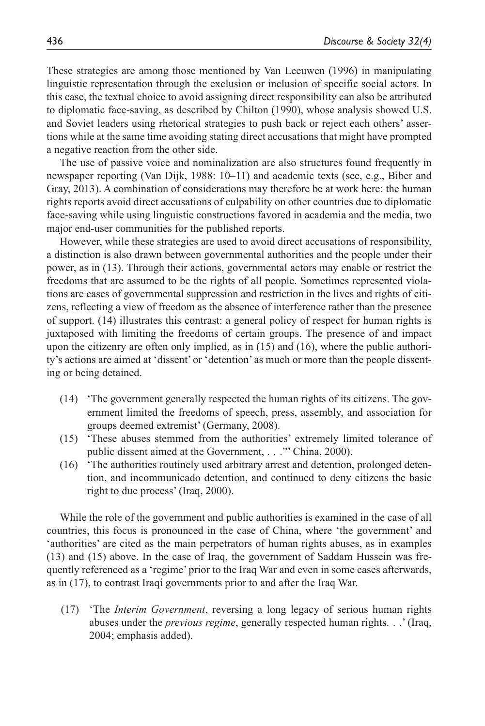These strategies are among those mentioned by Van Leeuwen (1996) in manipulating linguistic representation through the exclusion or inclusion of specific social actors. In this case, the textual choice to avoid assigning direct responsibility can also be attributed to diplomatic face-saving, as described by Chilton (1990), whose analysis showed U.S. and Soviet leaders using rhetorical strategies to push back or reject each others' assertions while at the same time avoiding stating direct accusations that might have prompted a negative reaction from the other side.

The use of passive voice and nominalization are also structures found frequently in newspaper reporting (Van Dijk, 1988: 10–11) and academic texts (see, e.g., Biber and Gray, 2013). A combination of considerations may therefore be at work here: the human rights reports avoid direct accusations of culpability on other countries due to diplomatic face-saving while using linguistic constructions favored in academia and the media, two major end-user communities for the published reports.

However, while these strategies are used to avoid direct accusations of responsibility, a distinction is also drawn between governmental authorities and the people under their power, as in (13). Through their actions, governmental actors may enable or restrict the freedoms that are assumed to be the rights of all people. Sometimes represented violations are cases of governmental suppression and restriction in the lives and rights of citizens, reflecting a view of freedom as the absence of interference rather than the presence of support. (14) illustrates this contrast: a general policy of respect for human rights is juxtaposed with limiting the freedoms of certain groups. The presence of and impact upon the citizenry are often only implied, as in (15) and (16), where the public authority's actions are aimed at 'dissent' or 'detention' as much or more than the people dissenting or being detained.

- (14) 'The government generally respected the human rights of its citizens. The government limited the freedoms of speech, press, assembly, and association for groups deemed extremist' (Germany, 2008).
- (15) 'These abuses stemmed from the authorities' extremely limited tolerance of public dissent aimed at the Government, . . ." China, 2000).
- (16) 'The authorities routinely used arbitrary arrest and detention, prolonged detention, and incommunicado detention, and continued to deny citizens the basic right to due process' (Iraq, 2000).

While the role of the government and public authorities is examined in the case of all countries, this focus is pronounced in the case of China, where 'the government' and 'authorities' are cited as the main perpetrators of human rights abuses, as in examples (13) and (15) above. In the case of Iraq, the government of Saddam Hussein was frequently referenced as a 'regime' prior to the Iraq War and even in some cases afterwards, as in (17), to contrast Iraqi governments prior to and after the Iraq War.

(17) 'The *Interim Government*, reversing a long legacy of serious human rights abuses under the *previous regime*, generally respected human rights. . .' (Iraq, 2004; emphasis added).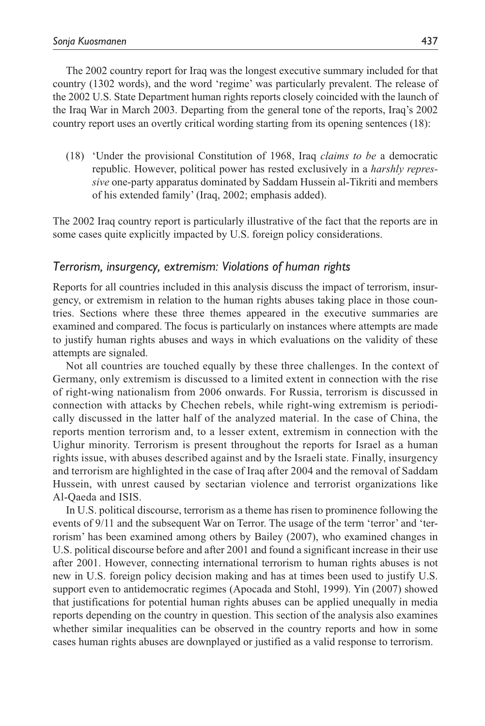The 2002 country report for Iraq was the longest executive summary included for that country (1302 words), and the word 'regime' was particularly prevalent. The release of the 2002 U.S. State Department human rights reports closely coincided with the launch of the Iraq War in March 2003. Departing from the general tone of the reports, Iraq's 2002 country report uses an overtly critical wording starting from its opening sentences (18):

(18) 'Under the provisional Constitution of 1968, Iraq *claims to be* a democratic republic. However, political power has rested exclusively in a *harshly repressive* one-party apparatus dominated by Saddam Hussein al-Tikriti and members of his extended family' (Iraq, 2002; emphasis added).

The 2002 Iraq country report is particularly illustrative of the fact that the reports are in some cases quite explicitly impacted by U.S. foreign policy considerations.

### *Terrorism, insurgency, extremism: Violations of human rights*

Reports for all countries included in this analysis discuss the impact of terrorism, insurgency, or extremism in relation to the human rights abuses taking place in those countries. Sections where these three themes appeared in the executive summaries are examined and compared. The focus is particularly on instances where attempts are made to justify human rights abuses and ways in which evaluations on the validity of these attempts are signaled.

Not all countries are touched equally by these three challenges. In the context of Germany, only extremism is discussed to a limited extent in connection with the rise of right-wing nationalism from 2006 onwards. For Russia, terrorism is discussed in connection with attacks by Chechen rebels, while right-wing extremism is periodically discussed in the latter half of the analyzed material. In the case of China, the reports mention terrorism and, to a lesser extent, extremism in connection with the Uighur minority. Terrorism is present throughout the reports for Israel as a human rights issue, with abuses described against and by the Israeli state. Finally, insurgency and terrorism are highlighted in the case of Iraq after 2004 and the removal of Saddam Hussein, with unrest caused by sectarian violence and terrorist organizations like Al-Qaeda and ISIS.

In U.S. political discourse, terrorism as a theme has risen to prominence following the events of 9/11 and the subsequent War on Terror. The usage of the term 'terror' and 'terrorism' has been examined among others by Bailey (2007), who examined changes in U.S. political discourse before and after 2001 and found a significant increase in their use after 2001. However, connecting international terrorism to human rights abuses is not new in U.S. foreign policy decision making and has at times been used to justify U.S. support even to antidemocratic regimes (Apocada and Stohl, 1999). Yin (2007) showed that justifications for potential human rights abuses can be applied unequally in media reports depending on the country in question. This section of the analysis also examines whether similar inequalities can be observed in the country reports and how in some cases human rights abuses are downplayed or justified as a valid response to terrorism.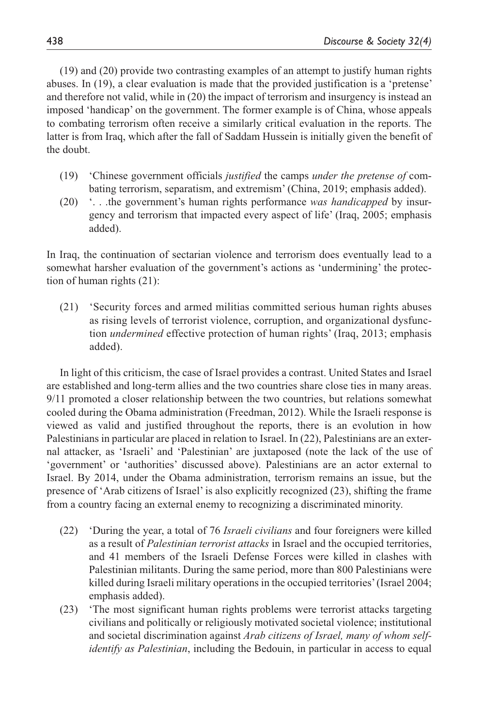(19) and (20) provide two contrasting examples of an attempt to justify human rights abuses. In (19), a clear evaluation is made that the provided justification is a 'pretense' and therefore not valid, while in (20) the impact of terrorism and insurgency is instead an imposed 'handicap' on the government. The former example is of China, whose appeals to combating terrorism often receive a similarly critical evaluation in the reports. The latter is from Iraq, which after the fall of Saddam Hussein is initially given the benefit of the doubt.

- (19) 'Chinese government officials *justified* the camps *under the pretense of* combating terrorism, separatism, and extremism' (China, 2019; emphasis added).
- (20) '. . .the government's human rights performance *was handicapped* by insurgency and terrorism that impacted every aspect of life' (Iraq, 2005; emphasis added).

In Iraq, the continuation of sectarian violence and terrorism does eventually lead to a somewhat harsher evaluation of the government's actions as 'undermining' the protection of human rights (21):

(21) 'Security forces and armed militias committed serious human rights abuses as rising levels of terrorist violence, corruption, and organizational dysfunction *undermined* effective protection of human rights' (Iraq, 2013; emphasis added).

In light of this criticism, the case of Israel provides a contrast. United States and Israel are established and long-term allies and the two countries share close ties in many areas. 9/11 promoted a closer relationship between the two countries, but relations somewhat cooled during the Obama administration (Freedman, 2012). While the Israeli response is viewed as valid and justified throughout the reports, there is an evolution in how Palestinians in particular are placed in relation to Israel. In (22), Palestinians are an external attacker, as 'Israeli' and 'Palestinian' are juxtaposed (note the lack of the use of 'government' or 'authorities' discussed above). Palestinians are an actor external to Israel. By 2014, under the Obama administration, terrorism remains an issue, but the presence of 'Arab citizens of Israel' is also explicitly recognized (23), shifting the frame from a country facing an external enemy to recognizing a discriminated minority.

- (22) 'During the year, a total of 76 *Israeli civilians* and four foreigners were killed as a result of *Palestinian terrorist attacks* in Israel and the occupied territories, and 41 members of the Israeli Defense Forces were killed in clashes with Palestinian militants. During the same period, more than 800 Palestinians were killed during Israeli military operations in the occupied territories' (Israel 2004; emphasis added).
- (23) 'The most significant human rights problems were terrorist attacks targeting civilians and politically or religiously motivated societal violence; institutional and societal discrimination against *Arab citizens of Israel, many of whom selfidentify as Palestinian*, including the Bedouin, in particular in access to equal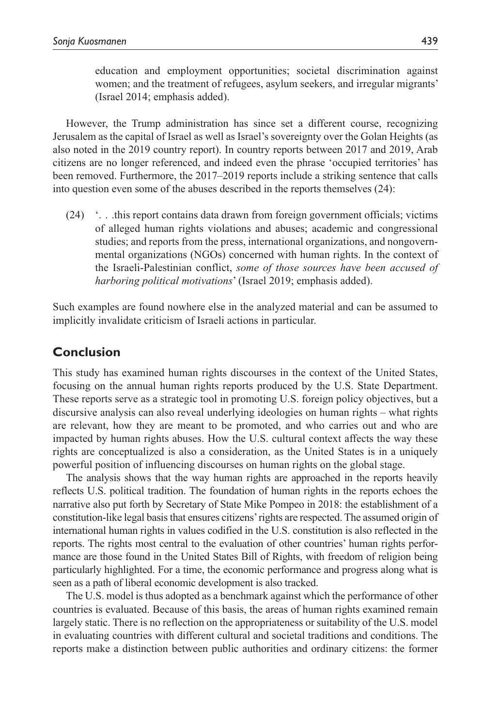education and employment opportunities; societal discrimination against women; and the treatment of refugees, asylum seekers, and irregular migrants' (Israel 2014; emphasis added).

However, the Trump administration has since set a different course, recognizing Jerusalem as the capital of Israel as well as Israel's sovereignty over the Golan Heights (as also noted in the 2019 country report). In country reports between 2017 and 2019, Arab citizens are no longer referenced, and indeed even the phrase 'occupied territories' has been removed. Furthermore, the 2017–2019 reports include a striking sentence that calls into question even some of the abuses described in the reports themselves (24):

(24) '. . .this report contains data drawn from foreign government officials; victims of alleged human rights violations and abuses; academic and congressional studies; and reports from the press, international organizations, and nongovernmental organizations (NGOs) concerned with human rights. In the context of the Israeli-Palestinian conflict, *some of those sources have been accused of harboring political motivations*' (Israel 2019; emphasis added).

Such examples are found nowhere else in the analyzed material and can be assumed to implicitly invalidate criticism of Israeli actions in particular.

### **Conclusion**

This study has examined human rights discourses in the context of the United States, focusing on the annual human rights reports produced by the U.S. State Department. These reports serve as a strategic tool in promoting U.S. foreign policy objectives, but a discursive analysis can also reveal underlying ideologies on human rights – what rights are relevant, how they are meant to be promoted, and who carries out and who are impacted by human rights abuses. How the U.S. cultural context affects the way these rights are conceptualized is also a consideration, as the United States is in a uniquely powerful position of influencing discourses on human rights on the global stage.

The analysis shows that the way human rights are approached in the reports heavily reflects U.S. political tradition. The foundation of human rights in the reports echoes the narrative also put forth by Secretary of State Mike Pompeo in 2018: the establishment of a constitution-like legal basis that ensures citizens' rights are respected. The assumed origin of international human rights in values codified in the U.S. constitution is also reflected in the reports. The rights most central to the evaluation of other countries' human rights performance are those found in the United States Bill of Rights, with freedom of religion being particularly highlighted. For a time, the economic performance and progress along what is seen as a path of liberal economic development is also tracked.

The U.S. model is thus adopted as a benchmark against which the performance of other countries is evaluated. Because of this basis, the areas of human rights examined remain largely static. There is no reflection on the appropriateness or suitability of the U.S. model in evaluating countries with different cultural and societal traditions and conditions. The reports make a distinction between public authorities and ordinary citizens: the former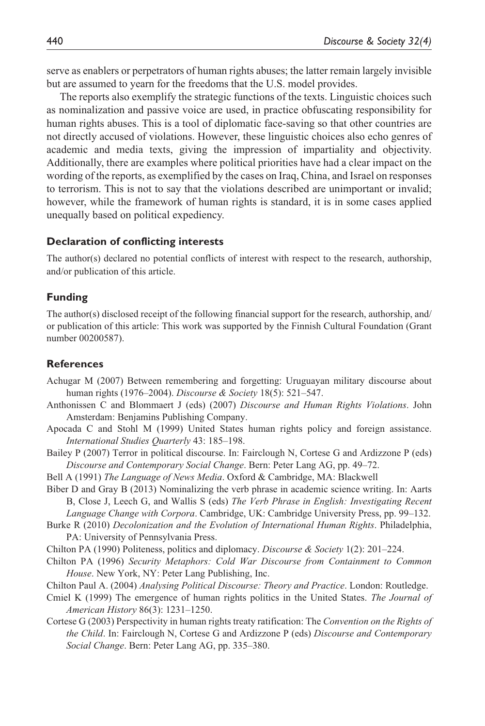serve as enablers or perpetrators of human rights abuses; the latter remain largely invisible but are assumed to yearn for the freedoms that the U.S. model provides.

The reports also exemplify the strategic functions of the texts. Linguistic choices such as nominalization and passive voice are used, in practice obfuscating responsibility for human rights abuses. This is a tool of diplomatic face-saving so that other countries are not directly accused of violations. However, these linguistic choices also echo genres of academic and media texts, giving the impression of impartiality and objectivity. Additionally, there are examples where political priorities have had a clear impact on the wording of the reports, as exemplified by the cases on Iraq, China, and Israel on responses to terrorism. This is not to say that the violations described are unimportant or invalid; however, while the framework of human rights is standard, it is in some cases applied unequally based on political expediency.

#### **Declaration of conflicting interests**

The author(s) declared no potential conflicts of interest with respect to the research, authorship, and/or publication of this article.

#### **Funding**

The author(s) disclosed receipt of the following financial support for the research, authorship, and/ or publication of this article: This work was supported by the Finnish Cultural Foundation (Grant number 00200587).

#### **References**

Achugar M (2007) Between remembering and forgetting: Uruguayan military discourse about human rights (1976–2004). *Discourse & Society* 18(5): 521–547.

Anthonissen C and Blommaert J (eds) (2007) *Discourse and Human Rights Violations*. John Amsterdam: Benjamins Publishing Company.

Apocada C and Stohl M (1999) United States human rights policy and foreign assistance. *International Studies Quarterly* 43: 185–198.

Bailey P (2007) Terror in political discourse. In: Fairclough N, Cortese G and Ardizzone P (eds) *Discourse and Contemporary Social Change*. Bern: Peter Lang AG, pp. 49–72.

Bell A (1991) *The Language of News Media*. Oxford & Cambridge, MA: Blackwell

Biber D and Gray B (2013) Nominalizing the verb phrase in academic science writing. In: Aarts B, Close J, Leech G, and Wallis S (eds) *The Verb Phrase in English: Investigating Recent* 

*Language Change with Corpora*. Cambridge, UK: Cambridge University Press, pp. 99–132.

- Burke R (2010) *Decolonization and the Evolution of International Human Rights*. Philadelphia, PA: University of Pennsylvania Press.
- Chilton PA (1990) Politeness, politics and diplomacy. *Discourse & Society* 1(2): 201–224.
- Chilton PA (1996) *Security Metaphors: Cold War Discourse from Containment to Common House*. New York, NY: Peter Lang Publishing, Inc.
- Chilton Paul A. (2004) *Analysing Political Discourse: Theory and Practice*. London: Routledge.
- Cmiel K (1999) The emergence of human rights politics in the United States. *The Journal of American History* 86(3): 1231–1250.
- Cortese G (2003) Perspectivity in human rights treaty ratification: The *Convention on the Rights of the Child*. In: Fairclough N, Cortese G and Ardizzone P (eds) *Discourse and Contemporary Social Change*. Bern: Peter Lang AG, pp. 335–380.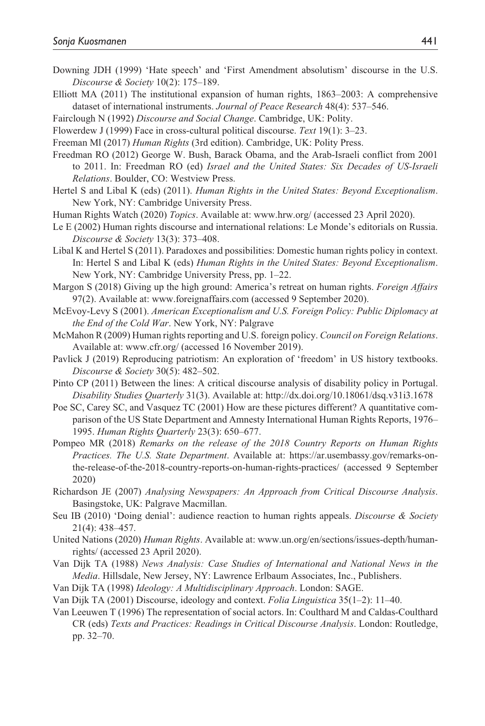- Downing JDH (1999) 'Hate speech' and 'First Amendment absolutism' discourse in the U.S. *Discourse & Society* 10(2): 175–189.
- Elliott MA (2011) The institutional expansion of human rights, 1863–2003: A comprehensive dataset of international instruments. *Journal of Peace Research* 48(4): 537–546.
- Fairclough N (1992) *Discourse and Social Change*. Cambridge, UK: Polity.
- Flowerdew J (1999) Face in cross-cultural political discourse. *Text* 19(1): 3–23.
- Freeman Ml (2017) *Human Rights* (3rd edition). Cambridge, UK: Polity Press.
- Freedman RO (2012) George W. Bush, Barack Obama, and the Arab-Israeli conflict from 2001 to 2011. In: Freedman RO (ed) *Israel and the United States: Six Decades of US-Israeli Relations*. Boulder, CO: Westview Press.
- Hertel S and Libal K (eds) (2011). *Human Rights in the United States: Beyond Exceptionalism*. New York, NY: Cambridge University Press.
- Human Rights Watch (2020) *Topics*. Available at: <www.hrw.org/> (accessed 23 April 2020).
- Le E (2002) Human rights discourse and international relations: Le Monde's editorials on Russia. *Discourse & Society* 13(3): 373–408.
- Libal K and Hertel S (2011). Paradoxes and possibilities: Domestic human rights policy in context. In: Hertel S and Libal K (eds) *Human Rights in the United States: Beyond Exceptionalism*. New York, NY: Cambridge University Press, pp. 1–22.
- Margon S (2018) Giving up the high ground: America's retreat on human rights. *Foreign Affairs* 97(2). Available at: <www.foreignaffairs.com> (accessed 9 September 2020).
- McEvoy-Levy S (2001). *American Exceptionalism and U.S. Foreign Policy: Public Diplomacy at the End of the Cold War*. New York, NY: Palgrave
- McMahon R (2009) Human rights reporting and U.S. foreign policy. *Council on Foreign Relations*. Available at: <www.cfr.org/> (accessed 16 November 2019).
- Pavlick J (2019) Reproducing patriotism: An exploration of 'freedom' in US history textbooks. *Discourse & Society* 30(5): 482–502.
- Pinto CP (2011) Between the lines: A critical discourse analysis of disability policy in Portugal. *Disability Studies Quarterly* 31(3). Available at: http://dx.doi.org/10.18061/dsq.v31i3.1678
- Poe SC, Carey SC, and Vasquez TC (2001) How are these pictures different? A quantitative comparison of the US State Department and Amnesty International Human Rights Reports, 1976– 1995. *Human Rights Quarterly* 23(3): 650–677.
- Pompeo MR (2018) *Remarks on the release of the 2018 Country Reports on Human Rights Practices. The U.S. State Department*. Available at: [https://ar.usembassy.gov/remarks-on](https://ar.usembassy.gov/remarks-on-the-release-of-the-2018-country-reports-on-human-rights-practices/)[the-release-of-the-2018-country-reports-on-human-rights-practices/](https://ar.usembassy.gov/remarks-on-the-release-of-the-2018-country-reports-on-human-rights-practices/) (accessed 9 September 2020)
- Richardson JE (2007) *Analysing Newspapers: An Approach from Critical Discourse Analysis*. Basingstoke, UK: Palgrave Macmillan.
- Seu IB (2010) 'Doing denial': audience reaction to human rights appeals. *Discourse & Society* 21(4): 438–457.
- United Nations (2020) *Human Rights*. Available at: [www.un.org/en/sections/issues-depth/human](www.un.org/en/sections/issues-depth/human-rights/)[rights/](www.un.org/en/sections/issues-depth/human-rights/) (accessed 23 April 2020).
- Van Dijk TA (1988) *News Analysis: Case Studies of International and National News in the Media*. Hillsdale, New Jersey, NY: Lawrence Erlbaum Associates, Inc., Publishers.
- Van Dijk TA (1998) *Ideology: A Multidisciplinary Approach*. London: SAGE.
- Van Dijk TA (2001) Discourse, ideology and context. *Folia Linguistica* 35(1–2): 11–40.
- Van Leeuwen T (1996) The representation of social actors. In: Coulthard M and Caldas-Coulthard CR (eds) *Texts and Practices: Readings in Critical Discourse Analysis*. London: Routledge, pp. 32–70.